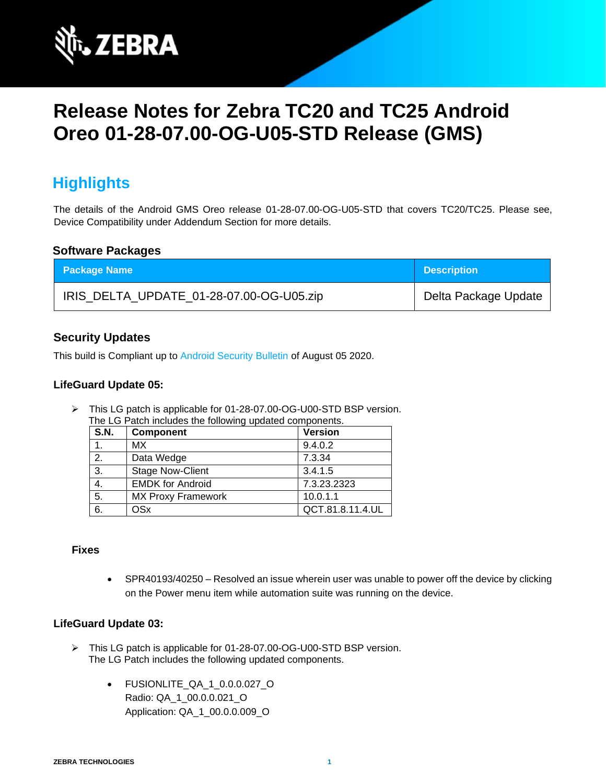

# **Release Notes for Zebra TC20 and TC25 Android Oreo 01-28-07.00-OG-U05-STD Release (GMS)**

# **Highlights**

The details of the Android GMS Oreo release 01-28-07.00-OG-U05-STD that covers TC20/TC25. Please see, Device Compatibility under Addendum Section for more details.

#### **Software Packages**

| <b>Package Name</b>                      | <b>Description</b>   |
|------------------------------------------|----------------------|
| IRIS_DELTA_UPDATE_01-28-07.00-OG-U05.zip | Delta Package Update |

#### **Security Updates**

This build is Compliant up to [Android Security Bulletin](https://source.android.com/security/bulletin/) of August 05 2020.

#### **LifeGuard Update 05:**

➢ This LG patch is applicable for 01-28-07.00-OG-U00-STD BSP version. The LG Patch includes the following updated components.

| S.N. | Component                 | <b>Version</b>   |
|------|---------------------------|------------------|
|      | <b>MX</b>                 | 9.4.0.2          |
| 2.   | Data Wedge                | 7.3.34           |
| 3.   | <b>Stage Now-Client</b>   | 3.4.1.5          |
| 4.   | <b>EMDK for Android</b>   | 7.3.23.2323      |
| 5.   | <b>MX Proxy Framework</b> | 10.0.1.1         |
| 6.   | <b>OSx</b>                | QCT.81.8.11.4.UL |

#### **Fixes**

• SPR40193/40250 – Resolved an issue wherein user was unable to power off the device by clicking on the Power menu item while automation suite was running on the device.

#### **LifeGuard Update 03:**

- ➢ This LG patch is applicable for 01-28-07.00-OG-U00-STD BSP version. The LG Patch includes the following updated components.
	- FUSIONLITE\_QA\_1\_0.0.0.027\_O Radio: QA\_1\_00.0.0.021\_O Application: QA\_1\_00.0.0.009\_O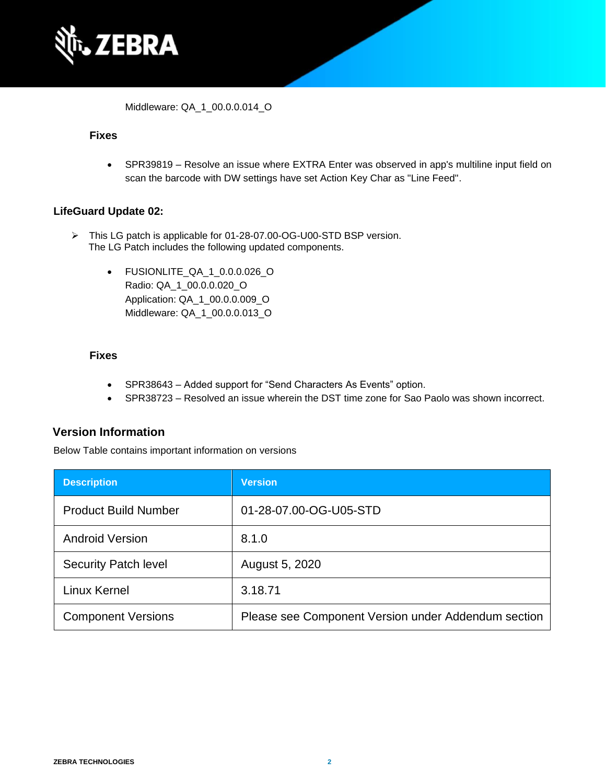

Middleware: QA\_1\_00.0.0.014\_O

#### **Fixes**

• SPR39819 – Resolve an issue where EXTRA Enter was observed in app's multiline input field on scan the barcode with DW settings have set Action Key Char as "Line Feed".

#### **LifeGuard Update 02:**

- ➢ This LG patch is applicable for 01-28-07.00-OG-U00-STD BSP version. The LG Patch includes the following updated components.
	- FUSIONLITE\_QA\_1\_0.0.0.026\_O Radio: QA\_1\_00.0.0.020\_O Application: QA\_1\_00.0.0.009\_O Middleware: QA\_1\_00.0.0.013\_O

#### **Fixes**

- SPR38643 Added support for "Send Characters As Events" option.
- SPR38723 Resolved an issue wherein the DST time zone for Sao Paolo was shown incorrect.

#### **Version Information**

Below Table contains important information on versions

| <b>Description</b>          | <b>Version</b>                                      |
|-----------------------------|-----------------------------------------------------|
| <b>Product Build Number</b> | 01-28-07.00-OG-U05-STD                              |
| <b>Android Version</b>      | 8.1.0                                               |
| <b>Security Patch level</b> | August 5, 2020                                      |
| Linux Kernel                | 3.18.71                                             |
| <b>Component Versions</b>   | Please see Component Version under Addendum section |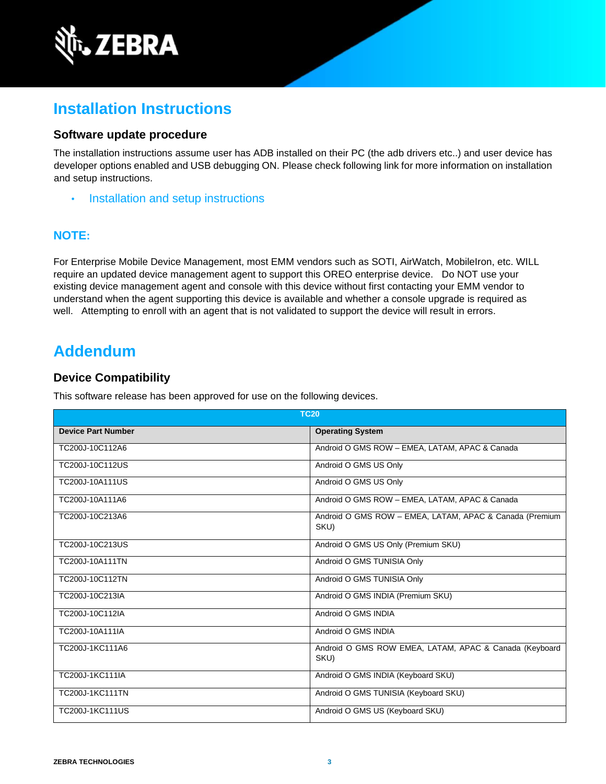

# **Installation Instructions**

#### **Software update procedure**

The installation instructions assume user has ADB installed on their PC (the adb drivers etc..) and user device has developer options enabled and USB debugging ON. Please check following link for more information on installation and setup instructions.

• [Installation and setup instructions](https://www.zebra.com/content/dam/zebra_new_ia/en-us/software/operating-system/tc20-operating-system/Android-O-OS-Update-TC20-and-TC25-GMS.pdf)

#### **NOTE:**

For Enterprise Mobile Device Management, most EMM vendors such as SOTI, AirWatch, MobileIron, etc. WILL require an updated device management agent to support this OREO enterprise device. Do NOT use your existing device management agent and console with this device without first contacting your EMM vendor to understand when the agent supporting this device is available and whether a console upgrade is required as well. Attempting to enroll with an agent that is not validated to support the device will result in errors.

# **Addendum**

#### **Device Compatibility**

This software release has been approved for use on the following devices.

| <b>TC20</b>               |                                                                 |
|---------------------------|-----------------------------------------------------------------|
| <b>Device Part Number</b> | <b>Operating System</b>                                         |
| TC200J-10C112A6           | Android O GMS ROW - EMEA, LATAM, APAC & Canada                  |
| TC200J-10C112US           | Android O GMS US Only                                           |
| TC200J-10A111US           | Android O GMS US Only                                           |
| TC200J-10A111A6           | Android O GMS ROW - EMEA, LATAM, APAC & Canada                  |
| TC200J-10C213A6           | Android O GMS ROW - EMEA, LATAM, APAC & Canada (Premium<br>SKU) |
| TC200J-10C213US           | Android O GMS US Only (Premium SKU)                             |
| TC200J-10A111TN           | Android O GMS TUNISIA Only                                      |
| TC200J-10C112TN           | Android O GMS TUNISIA Only                                      |
| TC200J-10C213IA           | Android O GMS INDIA (Premium SKU)                               |
| TC200J-10C112IA           | Android O GMS INDIA                                             |
| TC200J-10A111IA           | Android O GMS INDIA                                             |
| TC200J-1KC111A6           | Android O GMS ROW EMEA, LATAM, APAC & Canada (Keyboard<br>SKU)  |
| TC200J-1KC111IA           | Android O GMS INDIA (Keyboard SKU)                              |
| <b>TC200J-1KC111TN</b>    | Android O GMS TUNISIA (Keyboard SKU)                            |
| <b>TC200J-1KC111US</b>    | Android O GMS US (Keyboard SKU)                                 |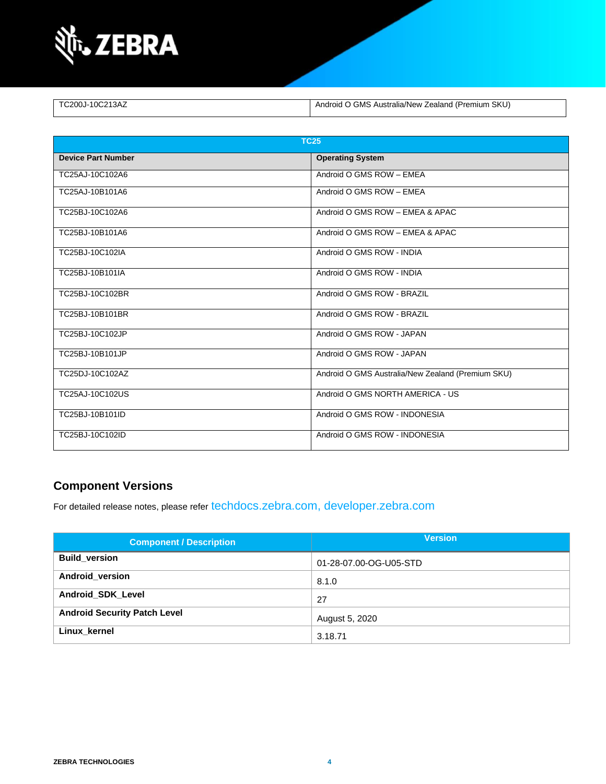

| TC200J-10C213AZ | Android O GMS Australia/New Zealand (Premium SKU) |
|-----------------|---------------------------------------------------|

| <b>TC25</b>               |                                                   |  |
|---------------------------|---------------------------------------------------|--|
| <b>Device Part Number</b> | <b>Operating System</b>                           |  |
| TC25AJ-10C102A6           | Android O GMS ROW - EMEA                          |  |
| TC25AJ-10B101A6           | Android O GMS ROW - EMEA                          |  |
| TC25BJ-10C102A6           | Android O GMS ROW - EMEA & APAC                   |  |
| TC25BJ-10B101A6           | Android O GMS ROW - EMEA & APAC                   |  |
| TC25BJ-10C102IA           | Android O GMS ROW - INDIA                         |  |
| TC25BJ-10B101IA           | Android O GMS ROW - INDIA                         |  |
| TC25BJ-10C102BR           | Android O GMS ROW - BRAZIL                        |  |
| TC25BJ-10B101BR           | Android O GMS ROW - BRAZIL                        |  |
| TC25BJ-10C102JP           | Android O GMS ROW - JAPAN                         |  |
| TC25BJ-10B101JP           | Android O GMS ROW - JAPAN                         |  |
| TC25DJ-10C102AZ           | Android O GMS Australia/New Zealand (Premium SKU) |  |
| TC25AJ-10C102US           | Android O GMS NORTH AMERICA - US                  |  |
| TC25BJ-10B101ID           | Android O GMS ROW - INDONESIA                     |  |
| TC25BJ-10C102ID           | Android O GMS ROW - INDONESIA                     |  |

#### **Component Versions**

For detailed release notes, please refer [techdocs.zebra.com,](https://techdocs.zebra.com/) [developer.zebra.com](https://developer.zebra.com/)

| <b>Component / Description</b>      | <b>Version</b>         |
|-------------------------------------|------------------------|
| <b>Build version</b>                | 01-28-07.00-OG-U05-STD |
| Android version                     | 8.1.0                  |
| <b>Android SDK Level</b>            | 27                     |
| <b>Android Security Patch Level</b> | August 5, 2020         |
| Linux kernel                        | 3.18.71                |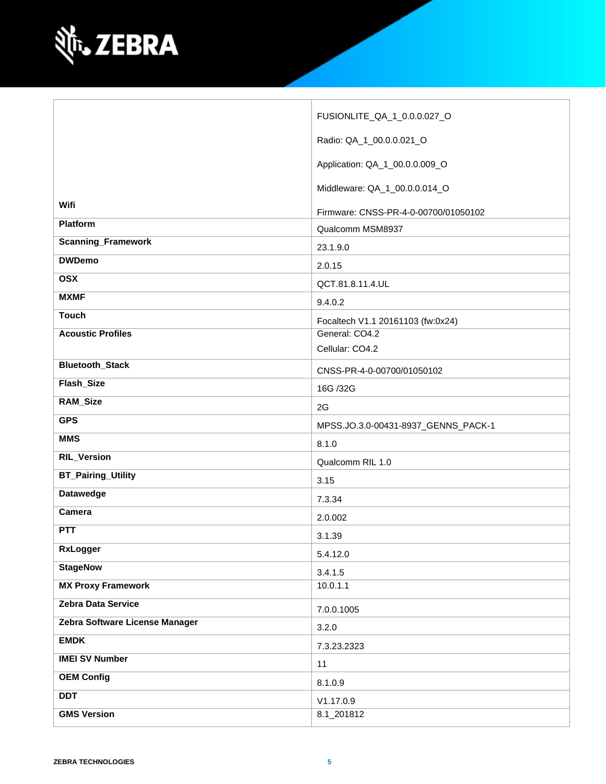

| Radio: QA_1_00.0.0.021_O<br>Application: QA_1_00.0.0.009_O<br>Middleware: QA_1_00.0.0.014_O<br>Wifi<br>Firmware: CNSS-PR-4-0-00700/01050102<br><b>Platform</b><br>Qualcomm MSM8937<br><b>Scanning_Framework</b><br>23.1.9.0<br><b>DWDemo</b><br>2.0.15<br><b>OSX</b><br>QCT.81.8.11.4.UL<br><b>MXMF</b><br>9.4.0.2<br><b>Touch</b><br>Focaltech V1.1 20161103 (fw:0x24)<br><b>Acoustic Profiles</b><br>General: CO4.2 |
|-----------------------------------------------------------------------------------------------------------------------------------------------------------------------------------------------------------------------------------------------------------------------------------------------------------------------------------------------------------------------------------------------------------------------|
|                                                                                                                                                                                                                                                                                                                                                                                                                       |
|                                                                                                                                                                                                                                                                                                                                                                                                                       |
|                                                                                                                                                                                                                                                                                                                                                                                                                       |
|                                                                                                                                                                                                                                                                                                                                                                                                                       |
|                                                                                                                                                                                                                                                                                                                                                                                                                       |
|                                                                                                                                                                                                                                                                                                                                                                                                                       |
|                                                                                                                                                                                                                                                                                                                                                                                                                       |
|                                                                                                                                                                                                                                                                                                                                                                                                                       |
|                                                                                                                                                                                                                                                                                                                                                                                                                       |
|                                                                                                                                                                                                                                                                                                                                                                                                                       |
|                                                                                                                                                                                                                                                                                                                                                                                                                       |
| Cellular: CO4.2                                                                                                                                                                                                                                                                                                                                                                                                       |
| <b>Bluetooth_Stack</b><br>CNSS-PR-4-0-00700/01050102                                                                                                                                                                                                                                                                                                                                                                  |
| Flash_Size<br>16G /32G                                                                                                                                                                                                                                                                                                                                                                                                |
| <b>RAM_Size</b><br>2G                                                                                                                                                                                                                                                                                                                                                                                                 |
| <b>GPS</b><br>MPSS.JO.3.0-00431-8937_GENNS_PACK-1                                                                                                                                                                                                                                                                                                                                                                     |
| <b>MMS</b><br>8.1.0                                                                                                                                                                                                                                                                                                                                                                                                   |
| <b>RIL_Version</b><br>Qualcomm RIL 1.0                                                                                                                                                                                                                                                                                                                                                                                |
| <b>BT_Pairing_Utility</b><br>3.15                                                                                                                                                                                                                                                                                                                                                                                     |
| <b>Datawedge</b><br>7.3.34                                                                                                                                                                                                                                                                                                                                                                                            |
| Camera<br>2.0.002                                                                                                                                                                                                                                                                                                                                                                                                     |
| <b>PTT</b><br>3.1.39                                                                                                                                                                                                                                                                                                                                                                                                  |
| RxLogger<br>5.4.12.0                                                                                                                                                                                                                                                                                                                                                                                                  |
| <b>StageNow</b><br>3.4.1.5                                                                                                                                                                                                                                                                                                                                                                                            |
| <b>MX Proxy Framework</b><br>10.0.1.1                                                                                                                                                                                                                                                                                                                                                                                 |
| Zebra Data Service<br>7.0.0.1005                                                                                                                                                                                                                                                                                                                                                                                      |
| Zebra Software License Manager<br>3.2.0                                                                                                                                                                                                                                                                                                                                                                               |
| <b>EMDK</b><br>7.3.23.2323                                                                                                                                                                                                                                                                                                                                                                                            |
| <b>IMEI SV Number</b><br>11                                                                                                                                                                                                                                                                                                                                                                                           |
| <b>OEM Config</b><br>8.1.0.9                                                                                                                                                                                                                                                                                                                                                                                          |
| <b>DDT</b><br>V1.17.0.9                                                                                                                                                                                                                                                                                                                                                                                               |
| <b>GMS Version</b><br>8.1_201812                                                                                                                                                                                                                                                                                                                                                                                      |